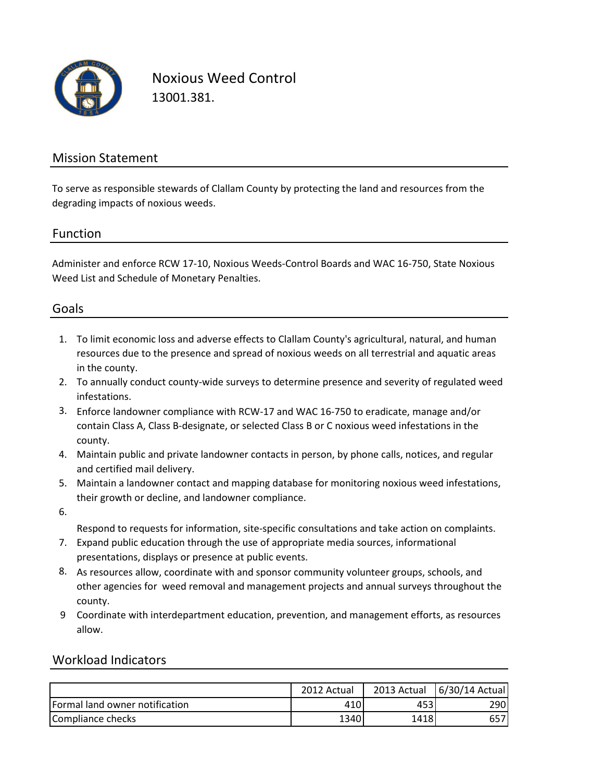

Noxious Weed Control 13001.381.

### Mission Statement

To serve as responsible stewards of Clallam County by protecting the land and resources from the degrading impacts of noxious weeds.

#### Function

Administer and enforce RCW 17-10, Noxious Weeds-Control Boards and WAC 16-750, State Noxious Weed List and Schedule of Monetary Penalties.

### Goals

- 1. To limit economic loss and adverse effects to Clallam County's agricultural, natural, and human resources due to the presence and spread of noxious weeds on all terrestrial and aquatic areas in the county.
- 2. To annually conduct county-wide surveys to determine presence and severity of regulated weed infestations.
- 3. Enforce landowner compliance with RCW-17 and WAC 16-750 to eradicate, manage and/or contain Class A, Class B-designate, or selected Class B or C noxious weed infestations in the county.
- 4. Maintain public and private landowner contacts in person, by phone calls, notices, and regular and certified mail delivery.
- 5. Maintain a landowner contact and mapping database for monitoring noxious weed infestations, their growth or decline, and landowner compliance.
- 6.

Respond to requests for information, site-specific consultations and take action on complaints.

- 7. Expand public education through the use of appropriate media sources, informational presentations, displays or presence at public events.
- 8. As resources allow, coordinate with and sponsor community volunteer groups, schools, and other agencies for weed removal and management projects and annual surveys throughout the county.
- 9 Coordinate with interdepartment education, prevention, and management efforts, as resources allow.

#### Workload Indicators

|                                | 2012 Actual | 2013 Actual | 6/30/14 Actual |
|--------------------------------|-------------|-------------|----------------|
| Formal land owner notification | 410         | 453         | 290            |
| Compliance checks              | 1340        | 1418        | 657            |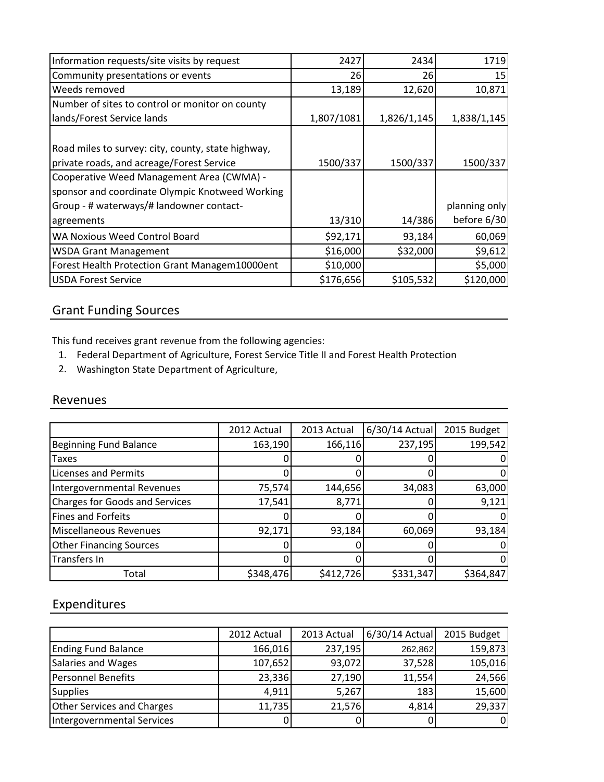| Information requests/site visits by request        | 2427       | 2434        | 1719          |
|----------------------------------------------------|------------|-------------|---------------|
| Community presentations or events                  | 26         | 26          | 15            |
| Weeds removed                                      | 13,189     | 12,620      | 10,871        |
| Number of sites to control or monitor on county    |            |             |               |
| lands/Forest Service lands                         | 1,807/1081 | 1,826/1,145 | 1,838/1,145   |
|                                                    |            |             |               |
| Road miles to survey: city, county, state highway, |            |             |               |
| private roads, and acreage/Forest Service          | 1500/337   | 1500/337    | 1500/337      |
| Cooperative Weed Management Area (CWMA) -          |            |             |               |
| sponsor and coordinate Olympic Knotweed Working    |            |             |               |
| Group - # waterways/# landowner contact-           |            |             | planning only |
| agreements                                         | 13/310     | 14/386      | before 6/30   |
| WA Noxious Weed Control Board                      | \$92,171   | 93,184      | 60,069        |
| <b>WSDA Grant Management</b>                       | \$16,000   | \$32,000    | \$9,612       |
| Forest Health Protection Grant Managem10000ent     | \$10,000   |             | \$5,000       |
| <b>USDA Forest Service</b>                         | \$176,656  | \$105,532   | \$120,000     |

# Grant Funding Sources

This fund receives grant revenue from the following agencies:

- 1. Federal Department of Agriculture, Forest Service Title II and Forest Health Protection
- 2. Washington State Department of Agriculture,

### Revenues

|                                       | 2012 Actual | 2013 Actual | $6/30/14$ Actual | 2015 Budget |
|---------------------------------------|-------------|-------------|------------------|-------------|
| <b>Beginning Fund Balance</b>         | 163,190     | 166,116     | 237,195          | 199,542     |
| <b>Taxes</b>                          |             |             |                  |             |
| <b>Licenses and Permits</b>           |             |             |                  | 0           |
| Intergovernmental Revenues            | 75,574      | 144,656     | 34,083           | 63,000      |
| <b>Charges for Goods and Services</b> | 17,541      | 8,771       |                  | 9,121       |
| <b>Fines and Forfeits</b>             |             |             |                  | 0           |
| <b>Miscellaneous Revenues</b>         | 92,171      | 93,184      | 60,069           | 93,184      |
| <b>Other Financing Sources</b>        |             |             |                  |             |
| Transfers In                          |             |             |                  | 0           |
| Total                                 | \$348,476   | \$412,726   | \$331,347        | \$364,847   |

## Expenditures

|                                   | 2012 Actual | 2013 Actual | 6/30/14 Actual | 2015 Budget |
|-----------------------------------|-------------|-------------|----------------|-------------|
| <b>Ending Fund Balance</b>        | 166,016     | 237,195     | 262,862        | 159,873     |
| Salaries and Wages                | 107,652     | 93,072      | 37,528         | 105,016     |
| <b>Personnel Benefits</b>         | 23,336      | 27,190      | 11,554         | 24,566      |
| <b>Supplies</b>                   | 4,911       | 5,267       | 183            | 15,600      |
| <b>Other Services and Charges</b> | 11,735      | 21,576      | 4,814          | 29,337      |
| Intergovernmental Services        | 0           |             |                | 0           |